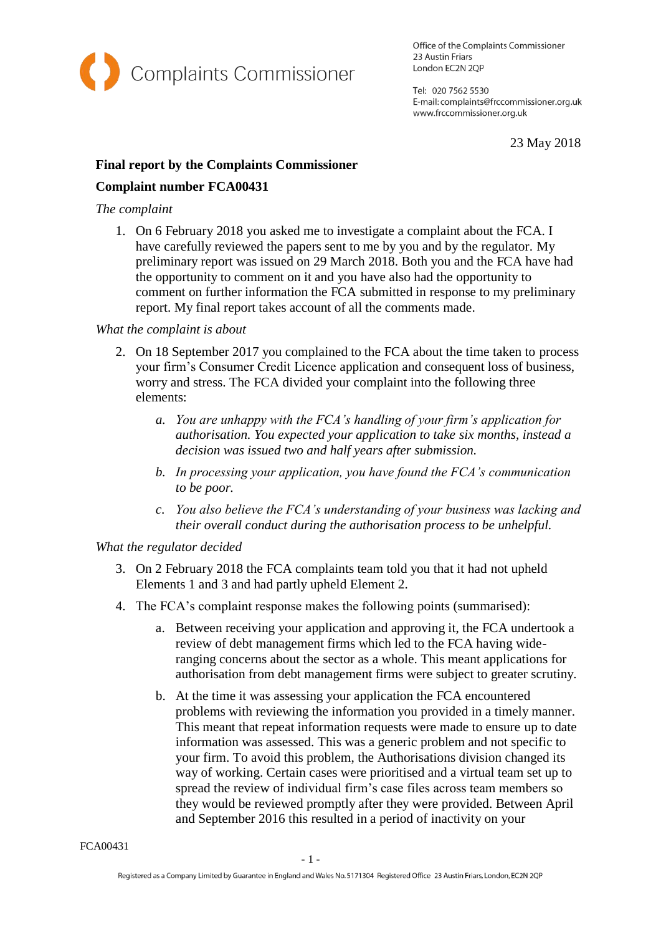

Office of the Complaints Commissioner 23 Austin Friars London EC2N 2QP

Tel: 020 7562 5530 E-mail: complaints@frccommissioner.org.uk www.frccommissioner.org.uk

23 May 2018

# **Final report by the Complaints Commissioner**

## **Complaint number FCA00431**

## *The complaint*

1. On 6 February 2018 you asked me to investigate a complaint about the FCA. I have carefully reviewed the papers sent to me by you and by the regulator. My preliminary report was issued on 29 March 2018. Both you and the FCA have had the opportunity to comment on it and you have also had the opportunity to comment on further information the FCA submitted in response to my preliminary report. My final report takes account of all the comments made.

#### *What the complaint is about*

- 2. On 18 September 2017 you complained to the FCA about the time taken to process your firm's Consumer Credit Licence application and consequent loss of business, worry and stress. The FCA divided your complaint into the following three elements:
	- *a. You are unhappy with the FCA's handling of your firm's application for authorisation. You expected your application to take six months, instead a decision was issued two and half years after submission.*
	- *b. In processing your application, you have found the FCA's communication to be poor.*
	- *c. You also believe the FCA's understanding of your business was lacking and their overall conduct during the authorisation process to be unhelpful.*

## *What the regulator decided*

- 3. On 2 February 2018 the FCA complaints team told you that it had not upheld Elements 1 and 3 and had partly upheld Element 2.
- 4. The FCA's complaint response makes the following points (summarised):
	- a. Between receiving your application and approving it, the FCA undertook a review of debt management firms which led to the FCA having wideranging concerns about the sector as a whole. This meant applications for authorisation from debt management firms were subject to greater scrutiny.
	- b. At the time it was assessing your application the FCA encountered problems with reviewing the information you provided in a timely manner. This meant that repeat information requests were made to ensure up to date information was assessed. This was a generic problem and not specific to your firm. To avoid this problem, the Authorisations division changed its way of working. Certain cases were prioritised and a virtual team set up to spread the review of individual firm's case files across team members so they would be reviewed promptly after they were provided. Between April and September 2016 this resulted in a period of inactivity on your

FCA00431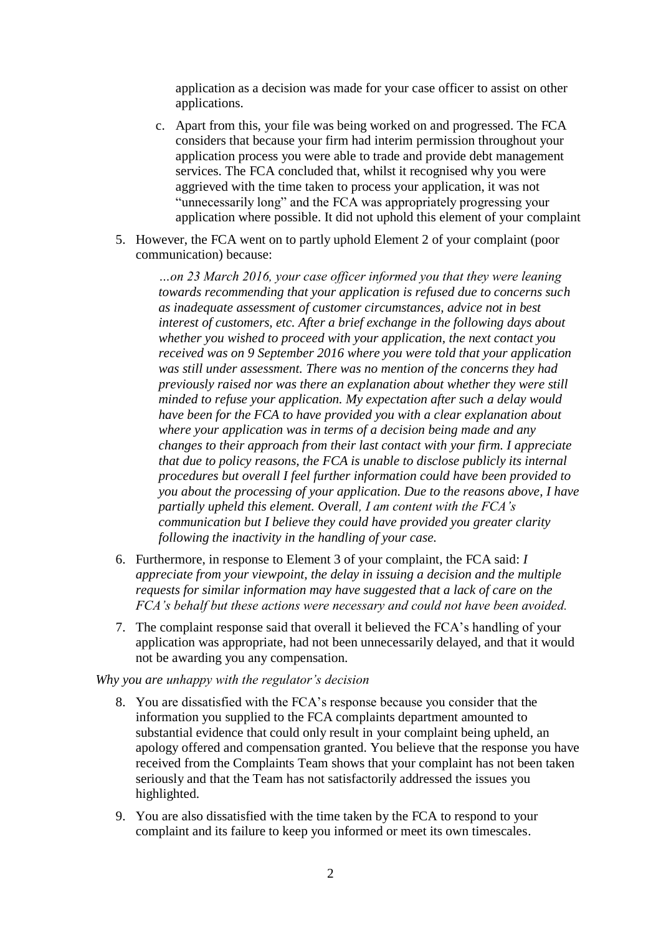application as a decision was made for your case officer to assist on other applications.

- c. Apart from this, your file was being worked on and progressed. The FCA considers that because your firm had interim permission throughout your application process you were able to trade and provide debt management services. The FCA concluded that, whilst it recognised why you were aggrieved with the time taken to process your application, it was not "unnecessarily long" and the FCA was appropriately progressing your application where possible. It did not uphold this element of your complaint
- 5. However, the FCA went on to partly uphold Element 2 of your complaint (poor communication) because:

*…on 23 March 2016, your case officer informed you that they were leaning towards recommending that your application is refused due to concerns such as inadequate assessment of customer circumstances, advice not in best interest of customers, etc. After a brief exchange in the following days about whether you wished to proceed with your application, the next contact you received was on 9 September 2016 where you were told that your application was still under assessment. There was no mention of the concerns they had previously raised nor was there an explanation about whether they were still minded to refuse your application. My expectation after such a delay would have been for the FCA to have provided you with a clear explanation about where your application was in terms of a decision being made and any changes to their approach from their last contact with your firm. I appreciate that due to policy reasons, the FCA is unable to disclose publicly its internal procedures but overall I feel further information could have been provided to you about the processing of your application. Due to the reasons above, I have partially upheld this element. Overall, I am content with the FCA's communication but I believe they could have provided you greater clarity following the inactivity in the handling of your case.*

- 6. Furthermore, in response to Element 3 of your complaint, the FCA said: *I appreciate from your viewpoint, the delay in issuing a decision and the multiple requests for similar information may have suggested that a lack of care on the FCA's behalf but these actions were necessary and could not have been avoided.*
- 7. The complaint response said that overall it believed the FCA's handling of your application was appropriate, had not been unnecessarily delayed, and that it would not be awarding you any compensation.

*Why you are unhappy with the regulator's decision*

- 8. You are dissatisfied with the FCA's response because you consider that the information you supplied to the FCA complaints department amounted to substantial evidence that could only result in your complaint being upheld, an apology offered and compensation granted. You believe that the response you have received from the Complaints Team shows that your complaint has not been taken seriously and that the Team has not satisfactorily addressed the issues you highlighted.
- 9. You are also dissatisfied with the time taken by the FCA to respond to your complaint and its failure to keep you informed or meet its own timescales.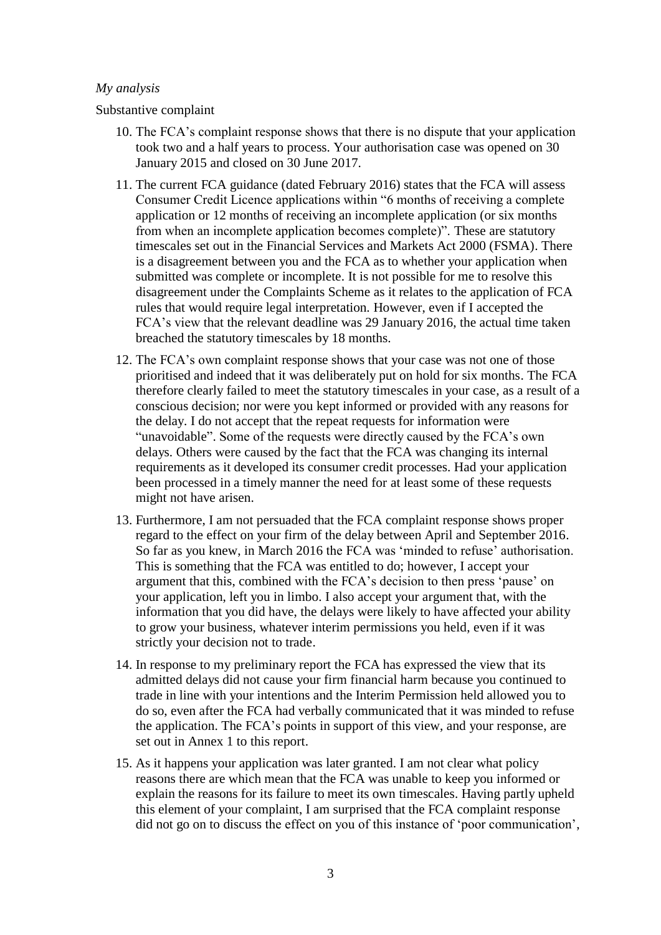#### *My analysis*

#### Substantive complaint

- 10. The FCA's complaint response shows that there is no dispute that your application took two and a half years to process. Your authorisation case was opened on 30 January 2015 and closed on 30 June 2017.
- 11. The current FCA guidance (dated February 2016) states that the FCA will assess Consumer Credit Licence applications within "6 months of receiving a complete application or 12 months of receiving an incomplete application (or six months from when an incomplete application becomes complete)". These are statutory timescales set out in the Financial Services and Markets Act 2000 (FSMA). There is a disagreement between you and the FCA as to whether your application when submitted was complete or incomplete. It is not possible for me to resolve this disagreement under the Complaints Scheme as it relates to the application of FCA rules that would require legal interpretation. However, even if I accepted the FCA's view that the relevant deadline was 29 January 2016, the actual time taken breached the statutory timescales by 18 months.
- 12. The FCA's own complaint response shows that your case was not one of those prioritised and indeed that it was deliberately put on hold for six months. The FCA therefore clearly failed to meet the statutory timescales in your case, as a result of a conscious decision; nor were you kept informed or provided with any reasons for the delay. I do not accept that the repeat requests for information were "unavoidable". Some of the requests were directly caused by the FCA's own delays. Others were caused by the fact that the FCA was changing its internal requirements as it developed its consumer credit processes. Had your application been processed in a timely manner the need for at least some of these requests might not have arisen.
- 13. Furthermore, I am not persuaded that the FCA complaint response shows proper regard to the effect on your firm of the delay between April and September 2016. So far as you knew, in March 2016 the FCA was 'minded to refuse' authorisation. This is something that the FCA was entitled to do; however, I accept your argument that this, combined with the FCA's decision to then press 'pause' on your application, left you in limbo. I also accept your argument that, with the information that you did have, the delays were likely to have affected your ability to grow your business, whatever interim permissions you held, even if it was strictly your decision not to trade.
- 14. In response to my preliminary report the FCA has expressed the view that its admitted delays did not cause your firm financial harm because you continued to trade in line with your intentions and the Interim Permission held allowed you to do so, even after the FCA had verbally communicated that it was minded to refuse the application. The FCA's points in support of this view, and your response, are set out in Annex 1 to this report.
- 15. As it happens your application was later granted. I am not clear what policy reasons there are which mean that the FCA was unable to keep you informed or explain the reasons for its failure to meet its own timescales. Having partly upheld this element of your complaint, I am surprised that the FCA complaint response did not go on to discuss the effect on you of this instance of 'poor communication',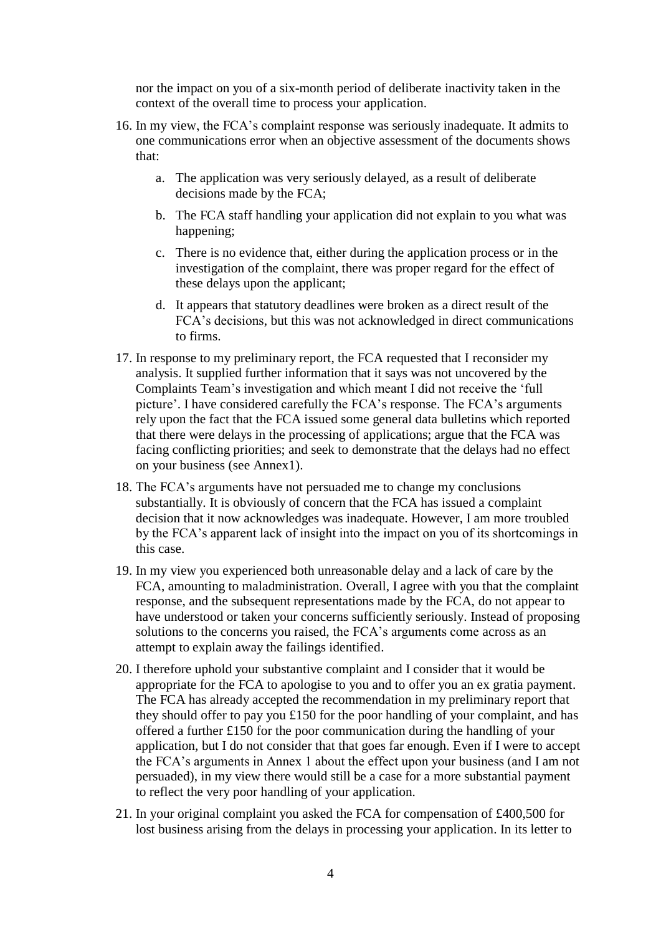nor the impact on you of a six-month period of deliberate inactivity taken in the context of the overall time to process your application.

- 16. In my view, the FCA's complaint response was seriously inadequate. It admits to one communications error when an objective assessment of the documents shows that:
	- a. The application was very seriously delayed, as a result of deliberate decisions made by the FCA;
	- b. The FCA staff handling your application did not explain to you what was happening;
	- c. There is no evidence that, either during the application process or in the investigation of the complaint, there was proper regard for the effect of these delays upon the applicant;
	- d. It appears that statutory deadlines were broken as a direct result of the FCA's decisions, but this was not acknowledged in direct communications to firms.
- 17. In response to my preliminary report, the FCA requested that I reconsider my analysis. It supplied further information that it says was not uncovered by the Complaints Team's investigation and which meant I did not receive the 'full picture'. I have considered carefully the FCA's response. The FCA's arguments rely upon the fact that the FCA issued some general data bulletins which reported that there were delays in the processing of applications; argue that the FCA was facing conflicting priorities; and seek to demonstrate that the delays had no effect on your business (see Annex1).
- 18. The FCA's arguments have not persuaded me to change my conclusions substantially. It is obviously of concern that the FCA has issued a complaint decision that it now acknowledges was inadequate. However, I am more troubled by the FCA's apparent lack of insight into the impact on you of its shortcomings in this case.
- 19. In my view you experienced both unreasonable delay and a lack of care by the FCA, amounting to maladministration. Overall, I agree with you that the complaint response, and the subsequent representations made by the FCA, do not appear to have understood or taken your concerns sufficiently seriously. Instead of proposing solutions to the concerns you raised, the FCA's arguments come across as an attempt to explain away the failings identified.
- 20. I therefore uphold your substantive complaint and I consider that it would be appropriate for the FCA to apologise to you and to offer you an ex gratia payment. The FCA has already accepted the recommendation in my preliminary report that they should offer to pay you £150 for the poor handling of your complaint, and has offered a further £150 for the poor communication during the handling of your application, but I do not consider that that goes far enough. Even if I were to accept the FCA's arguments in Annex 1 about the effect upon your business (and I am not persuaded), in my view there would still be a case for a more substantial payment to reflect the very poor handling of your application.
- 21. In your original complaint you asked the FCA for compensation of £400,500 for lost business arising from the delays in processing your application. In its letter to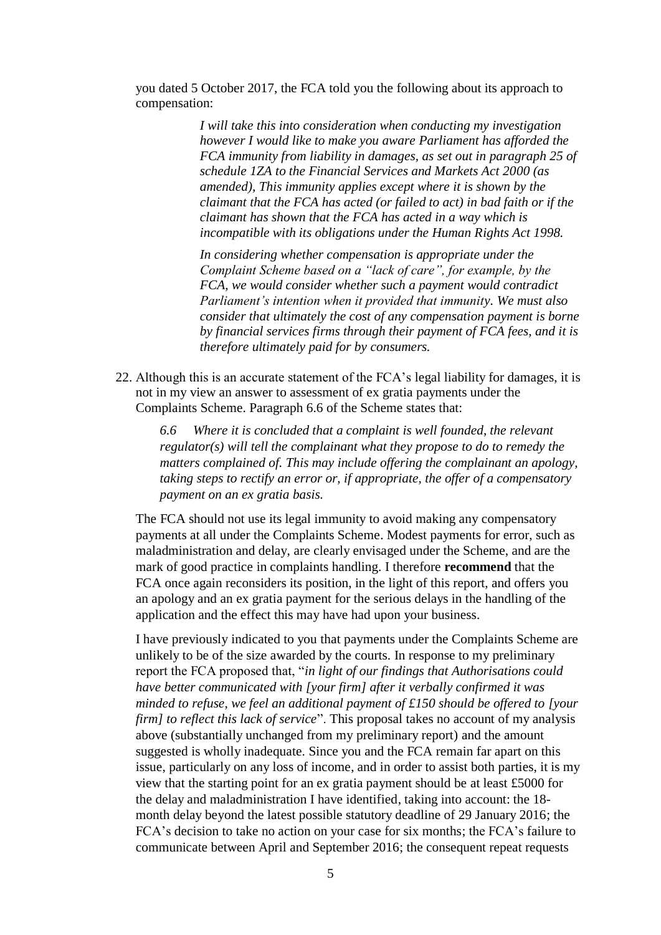you dated 5 October 2017, the FCA told you the following about its approach to compensation:

> *I will take this into consideration when conducting my investigation however I would like to make you aware Parliament has afforded the FCA immunity from liability in damages, as set out in paragraph 25 of schedule 1ZA to the Financial Services and Markets Act 2000 (as amended), This immunity applies except where it is shown by the claimant that the FCA has acted (or failed to act) in bad faith or if the claimant has shown that the FCA has acted in a way which is incompatible with its obligations under the Human Rights Act 1998.*

> *In considering whether compensation is appropriate under the Complaint Scheme based on a "lack of care", for example, by the FCA, we would consider whether such a payment would contradict Parliament's intention when it provided that immunity. We must also consider that ultimately the cost of any compensation payment is borne by financial services firms through their payment of FCA fees, and it is therefore ultimately paid for by consumers.*

22. Although this is an accurate statement of the FCA's legal liability for damages, it is not in my view an answer to assessment of ex gratia payments under the Complaints Scheme. Paragraph 6.6 of the Scheme states that:

*6.6 Where it is concluded that a complaint is well founded, the relevant regulator(s) will tell the complainant what they propose to do to remedy the matters complained of. This may include offering the complainant an apology, taking steps to rectify an error or, if appropriate, the offer of a compensatory payment on an ex gratia basis.*

The FCA should not use its legal immunity to avoid making any compensatory payments at all under the Complaints Scheme. Modest payments for error, such as maladministration and delay, are clearly envisaged under the Scheme, and are the mark of good practice in complaints handling. I therefore **recommend** that the FCA once again reconsiders its position, in the light of this report, and offers you an apology and an ex gratia payment for the serious delays in the handling of the application and the effect this may have had upon your business.

I have previously indicated to you that payments under the Complaints Scheme are unlikely to be of the size awarded by the courts. In response to my preliminary report the FCA proposed that, "*in light of our findings that Authorisations could have better communicated with [your firm] after it verbally confirmed it was minded to refuse, we feel an additional payment of £150 should be offered to [your firm] to reflect this lack of service*". This proposal takes no account of my analysis above (substantially unchanged from my preliminary report) and the amount suggested is wholly inadequate. Since you and the FCA remain far apart on this issue, particularly on any loss of income, and in order to assist both parties, it is my view that the starting point for an ex gratia payment should be at least £5000 for the delay and maladministration I have identified, taking into account: the 18 month delay beyond the latest possible statutory deadline of 29 January 2016; the FCA's decision to take no action on your case for six months; the FCA's failure to communicate between April and September 2016; the consequent repeat requests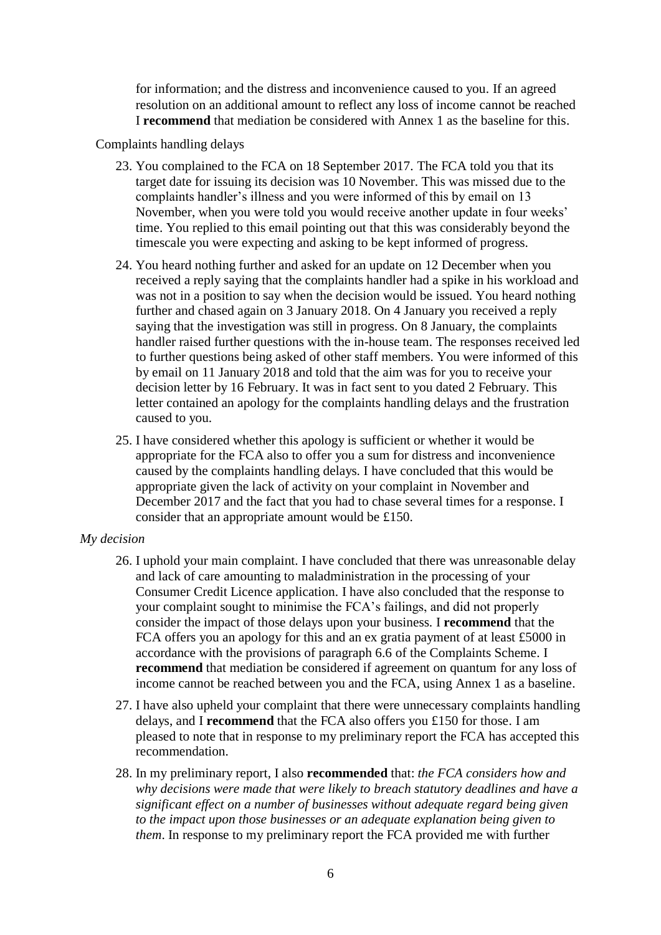for information; and the distress and inconvenience caused to you. If an agreed resolution on an additional amount to reflect any loss of income cannot be reached I **recommend** that mediation be considered with Annex 1 as the baseline for this.

Complaints handling delays

- 23. You complained to the FCA on 18 September 2017. The FCA told you that its target date for issuing its decision was 10 November. This was missed due to the complaints handler's illness and you were informed of this by email on 13 November, when you were told you would receive another update in four weeks' time. You replied to this email pointing out that this was considerably beyond the timescale you were expecting and asking to be kept informed of progress.
- 24. You heard nothing further and asked for an update on 12 December when you received a reply saying that the complaints handler had a spike in his workload and was not in a position to say when the decision would be issued. You heard nothing further and chased again on 3 January 2018. On 4 January you received a reply saying that the investigation was still in progress. On 8 January, the complaints handler raised further questions with the in-house team. The responses received led to further questions being asked of other staff members. You were informed of this by email on 11 January 2018 and told that the aim was for you to receive your decision letter by 16 February. It was in fact sent to you dated 2 February. This letter contained an apology for the complaints handling delays and the frustration caused to you.
- 25. I have considered whether this apology is sufficient or whether it would be appropriate for the FCA also to offer you a sum for distress and inconvenience caused by the complaints handling delays. I have concluded that this would be appropriate given the lack of activity on your complaint in November and December 2017 and the fact that you had to chase several times for a response. I consider that an appropriate amount would be £150.

#### *My decision*

- 26. I uphold your main complaint. I have concluded that there was unreasonable delay and lack of care amounting to maladministration in the processing of your Consumer Credit Licence application. I have also concluded that the response to your complaint sought to minimise the FCA's failings, and did not properly consider the impact of those delays upon your business. I **recommend** that the FCA offers you an apology for this and an ex gratia payment of at least £5000 in accordance with the provisions of paragraph 6.6 of the Complaints Scheme. I **recommend** that mediation be considered if agreement on quantum for any loss of income cannot be reached between you and the FCA, using Annex 1 as a baseline.
- 27. I have also upheld your complaint that there were unnecessary complaints handling delays, and I **recommend** that the FCA also offers you £150 for those. I am pleased to note that in response to my preliminary report the FCA has accepted this recommendation.
- 28. In my preliminary report, I also **recommended** that: *the FCA considers how and why decisions were made that were likely to breach statutory deadlines and have a significant effect on a number of businesses without adequate regard being given to the impact upon those businesses or an adequate explanation being given to them*. In response to my preliminary report the FCA provided me with further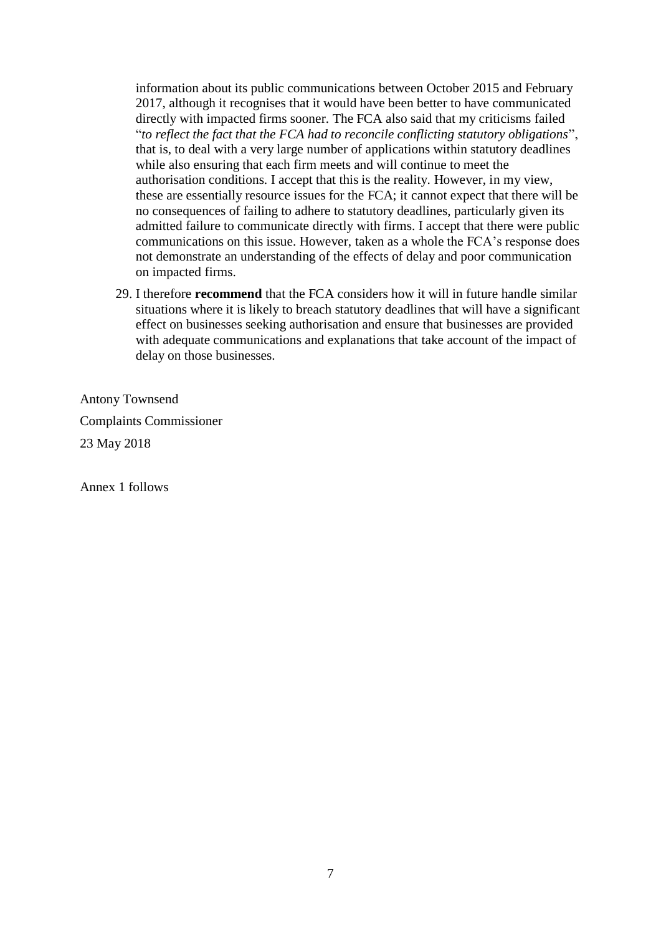information about its public communications between October 2015 and February 2017, although it recognises that it would have been better to have communicated directly with impacted firms sooner. The FCA also said that my criticisms failed "*to reflect the fact that the FCA had to reconcile conflicting statutory obligations*", that is, to deal with a very large number of applications within statutory deadlines while also ensuring that each firm meets and will continue to meet the authorisation conditions. I accept that this is the reality. However, in my view, these are essentially resource issues for the FCA; it cannot expect that there will be no consequences of failing to adhere to statutory deadlines, particularly given its admitted failure to communicate directly with firms. I accept that there were public communications on this issue. However, taken as a whole the FCA's response does not demonstrate an understanding of the effects of delay and poor communication on impacted firms.

29. I therefore **recommend** that the FCA considers how it will in future handle similar situations where it is likely to breach statutory deadlines that will have a significant effect on businesses seeking authorisation and ensure that businesses are provided with adequate communications and explanations that take account of the impact of delay on those businesses.

Antony Townsend Complaints Commissioner 23 May 2018

Annex 1 follows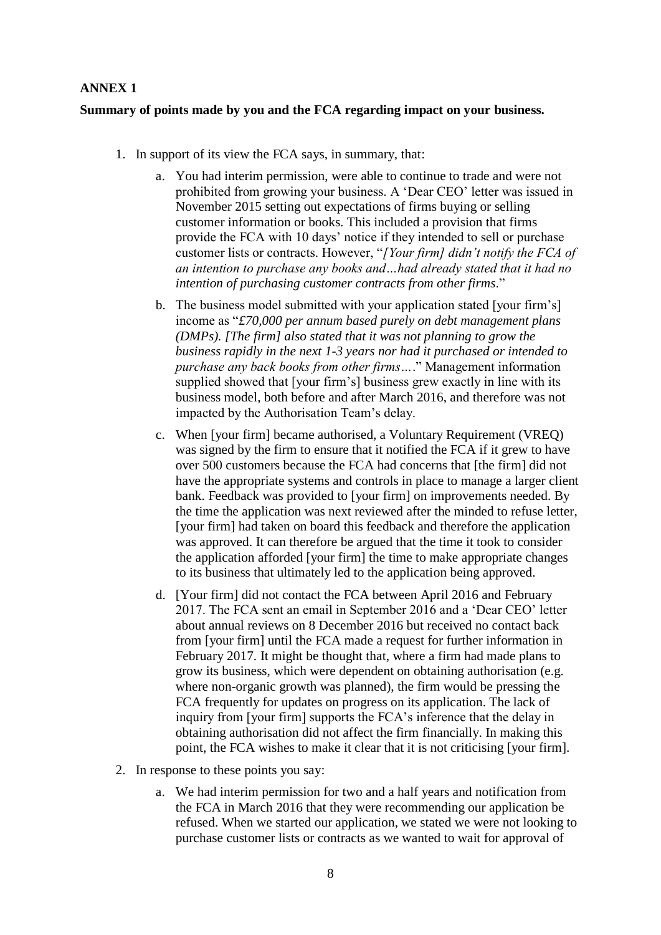## **ANNEX 1**

## **Summary of points made by you and the FCA regarding impact on your business.**

- 1. In support of its view the FCA says, in summary, that:
	- a. You had interim permission, were able to continue to trade and were not prohibited from growing your business. A 'Dear CEO' letter was issued in November 2015 setting out expectations of firms buying or selling customer information or books. This included a provision that firms provide the FCA with 10 days' notice if they intended to sell or purchase customer lists or contracts. However, "*[Your firm] didn't notify the FCA of an intention to purchase any books and…had already stated that it had no intention of purchasing customer contracts from other firms*."
	- b. The business model submitted with your application stated [your firm's] income as "*£70,000 per annum based purely on debt management plans (DMPs). [The firm] also stated that it was not planning to grow the business rapidly in the next 1-3 years nor had it purchased or intended to purchase any back books from other firms…*." Management information supplied showed that [your firm's] business grew exactly in line with its business model, both before and after March 2016, and therefore was not impacted by the Authorisation Team's delay.
	- c. When [your firm] became authorised, a Voluntary Requirement (VREQ) was signed by the firm to ensure that it notified the FCA if it grew to have over 500 customers because the FCA had concerns that [the firm] did not have the appropriate systems and controls in place to manage a larger client bank. Feedback was provided to [your firm] on improvements needed. By the time the application was next reviewed after the minded to refuse letter, [your firm] had taken on board this feedback and therefore the application was approved. It can therefore be argued that the time it took to consider the application afforded [your firm] the time to make appropriate changes to its business that ultimately led to the application being approved.
	- d. [Your firm] did not contact the FCA between April 2016 and February 2017. The FCA sent an email in September 2016 and a 'Dear CEO' letter about annual reviews on 8 December 2016 but received no contact back from [your firm] until the FCA made a request for further information in February 2017. It might be thought that, where a firm had made plans to grow its business, which were dependent on obtaining authorisation (e.g. where non-organic growth was planned), the firm would be pressing the FCA frequently for updates on progress on its application. The lack of inquiry from [your firm] supports the FCA's inference that the delay in obtaining authorisation did not affect the firm financially. In making this point, the FCA wishes to make it clear that it is not criticising [your firm].
- 2. In response to these points you say:
	- a. We had interim permission for two and a half years and notification from the FCA in March 2016 that they were recommending our application be refused. When we started our application, we stated we were not looking to purchase customer lists or contracts as we wanted to wait for approval of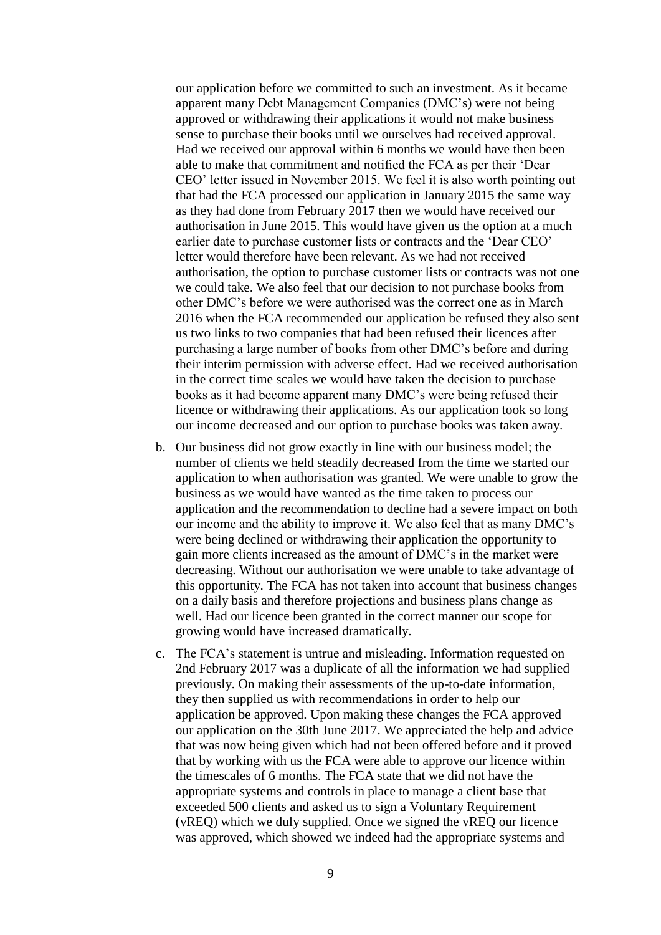our application before we committed to such an investment. As it became apparent many Debt Management Companies (DMC's) were not being approved or withdrawing their applications it would not make business sense to purchase their books until we ourselves had received approval. Had we received our approval within 6 months we would have then been able to make that commitment and notified the FCA as per their 'Dear CEO' letter issued in November 2015. We feel it is also worth pointing out that had the FCA processed our application in January 2015 the same way as they had done from February 2017 then we would have received our authorisation in June 2015. This would have given us the option at a much earlier date to purchase customer lists or contracts and the 'Dear CEO' letter would therefore have been relevant. As we had not received authorisation, the option to purchase customer lists or contracts was not one we could take. We also feel that our decision to not purchase books from other DMC's before we were authorised was the correct one as in March 2016 when the FCA recommended our application be refused they also sent us two links to two companies that had been refused their licences after purchasing a large number of books from other DMC's before and during their interim permission with adverse effect. Had we received authorisation in the correct time scales we would have taken the decision to purchase books as it had become apparent many DMC's were being refused their licence or withdrawing their applications. As our application took so long our income decreased and our option to purchase books was taken away.

- b. Our business did not grow exactly in line with our business model; the number of clients we held steadily decreased from the time we started our application to when authorisation was granted. We were unable to grow the business as we would have wanted as the time taken to process our application and the recommendation to decline had a severe impact on both our income and the ability to improve it. We also feel that as many DMC's were being declined or withdrawing their application the opportunity to gain more clients increased as the amount of DMC's in the market were decreasing. Without our authorisation we were unable to take advantage of this opportunity. The FCA has not taken into account that business changes on a daily basis and therefore projections and business plans change as well. Had our licence been granted in the correct manner our scope for growing would have increased dramatically.
- c. The FCA's statement is untrue and misleading. Information requested on 2nd February 2017 was a duplicate of all the information we had supplied previously. On making their assessments of the up-to-date information, they then supplied us with recommendations in order to help our application be approved. Upon making these changes the FCA approved our application on the 30th June 2017. We appreciated the help and advice that was now being given which had not been offered before and it proved that by working with us the FCA were able to approve our licence within the timescales of 6 months. The FCA state that we did not have the appropriate systems and controls in place to manage a client base that exceeded 500 clients and asked us to sign a Voluntary Requirement (vREQ) which we duly supplied. Once we signed the vREQ our licence was approved, which showed we indeed had the appropriate systems and